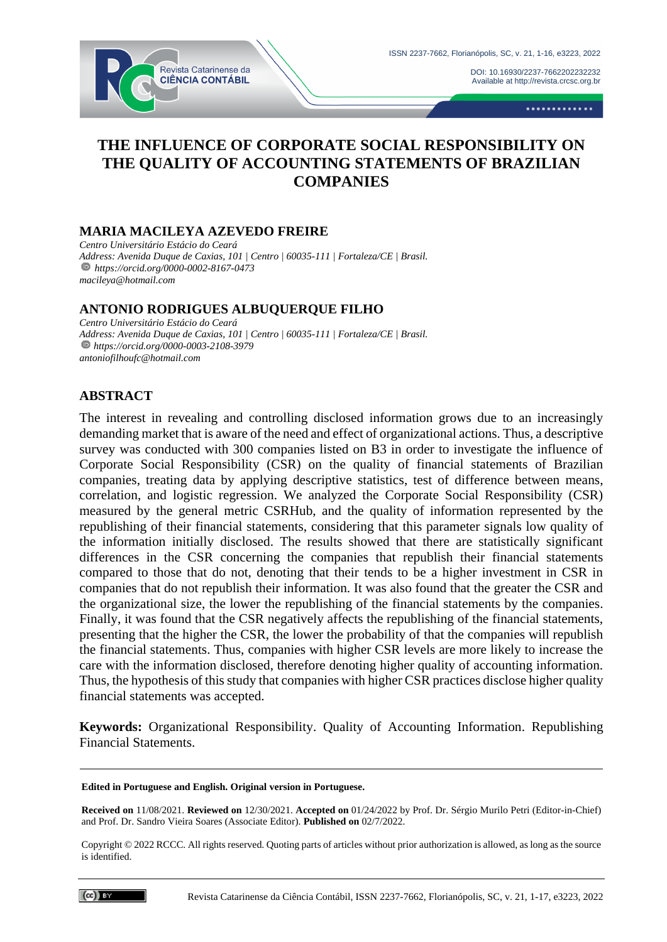

Available at http://revista.crcsc.org.br

DOI[: 10.16930/2237-7662202232232](https://doi.org/10.16930/2237-7662202232232)

.............

# **THE INFLUENCE OF CORPORATE SOCIAL RESPONSIBILITY ON THE QUALITY OF ACCOUNTING STATEMENTS OF BRAZILIAN COMPANIES**

#### **MARIA MACILEYA AZEVEDO FREIRE**

*Centro Universitário Estácio do Ceará Address: Avenida Duque de Caxias, 101 | Centro | 60035-111 | Fortaleza/CE | Brasil. https://orcid.org/0000-0002-8167-0473 macileya@hotmail.com*

## **ANTONIO RODRIGUES ALBUQUERQUE FILHO**

*Centro Universitário Estácio do Ceará Address: Avenida Duque de Caxias, 101 | Centro | 60035-111 | Fortaleza/CE | Brasil. https://orcid.org/0000-0003-2108-3979 antoniofilhoufc@hotmail.com*

#### **ABSTRACT**

The interest in revealing and controlling disclosed information grows due to an increasingly demanding market that is aware of the need and effect of organizational actions. Thus, a descriptive survey was conducted with 300 companies listed on B3 in order to investigate the influence of Corporate Social Responsibility (CSR) on the quality of financial statements of Brazilian companies, treating data by applying descriptive statistics, test of difference between means, correlation, and logistic regression. We analyzed the Corporate Social Responsibility (CSR) measured by the general metric CSRHub, and the quality of information represented by the republishing of their financial statements, considering that this parameter signals low quality of the information initially disclosed. The results showed that there are statistically significant differences in the CSR concerning the companies that republish their financial statements compared to those that do not, denoting that their tends to be a higher investment in CSR in companies that do not republish their information. It was also found that the greater the CSR and the organizational size, the lower the republishing of the financial statements by the companies. Finally, it was found that the CSR negatively affects the republishing of the financial statements, presenting that the higher the CSR, the lower the probability of that the companies will republish the financial statements. Thus, companies with higher CSR levels are more likely to increase the care with the information disclosed, therefore denoting higher quality of accounting information. Thus, the hypothesis of this study that companies with higher CSR practices disclose higher quality financial statements was accepted.

**Keywords:** Organizational Responsibility. Quality of Accounting Information. Republishing Financial Statements.

#### **Edited in Portuguese and English. Original version in Portuguese.**

**Received on** 11/08/2021. **Reviewed on** 12/30/2021. **Accepted on** 01/24/2022 by Prof. Dr. Sérgio Murilo Petri (Editor-in-Chief) and Prof. Dr. Sandro Vieira Soares (Associate Editor). **Published on** 02/7/2022.

Copyright © 2022 RCCC. All rights reserved. Quoting parts of articles without prior authorization is allowed, as long as the source is identified.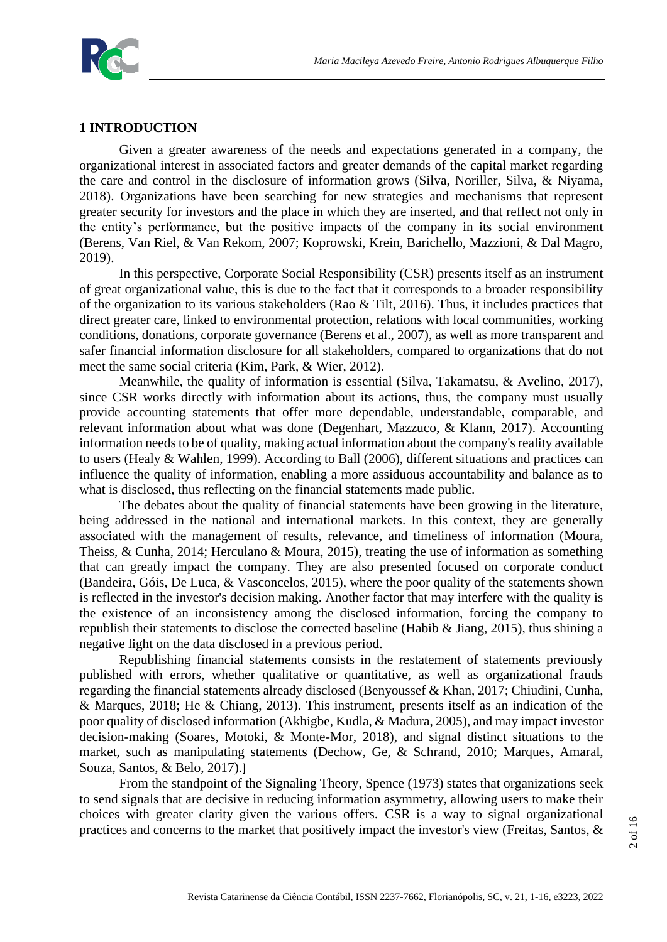

#### **1 INTRODUCTION**

Given a greater awareness of the needs and expectations generated in a company, the organizational interest in associated factors and greater demands of the capital market regarding the care and control in the disclosure of information grows (Silva, Noriller, Silva, & Niyama, 2018). Organizations have been searching for new strategies and mechanisms that represent greater security for investors and the place in which they are inserted, and that reflect not only in the entity's performance, but the positive impacts of the company in its social environment (Berens, Van Riel, & Van Rekom, 2007; Koprowski, Krein, Barichello, Mazzioni, & Dal Magro, 2019).

In this perspective, Corporate Social Responsibility (CSR) presents itself as an instrument of great organizational value, this is due to the fact that it corresponds to a broader responsibility of the organization to its various stakeholders (Rao & Tilt, 2016). Thus, it includes practices that direct greater care, linked to environmental protection, relations with local communities, working conditions, donations, corporate governance (Berens et al., 2007), as well as more transparent and safer financial information disclosure for all stakeholders, compared to organizations that do not meet the same social criteria (Kim, Park, & Wier, 2012).

Meanwhile, the quality of information is essential (Silva, Takamatsu, & Avelino, 2017), since CSR works directly with information about its actions, thus, the company must usually provide accounting statements that offer more dependable, understandable, comparable, and relevant information about what was done (Degenhart, Mazzuco, & Klann, 2017). Accounting information needs to be of quality, making actual information about the company's reality available to users (Healy & Wahlen, 1999). According to Ball (2006), different situations and practices can influence the quality of information, enabling a more assiduous accountability and balance as to what is disclosed, thus reflecting on the financial statements made public.

The debates about the quality of financial statements have been growing in the literature, being addressed in the national and international markets. In this context, they are generally associated with the management of results, relevance, and timeliness of information (Moura, Theiss, & Cunha, 2014; Herculano & Moura, 2015), treating the use of information as something that can greatly impact the company. They are also presented focused on corporate conduct (Bandeira, Góis, De Luca, & Vasconcelos, 2015), where the poor quality of the statements shown is reflected in the investor's decision making. Another factor that may interfere with the quality is the existence of an inconsistency among the disclosed information, forcing the company to republish their statements to disclose the corrected baseline (Habib & Jiang, 2015), thus shining a negative light on the data disclosed in a previous period.

Republishing financial statements consists in the restatement of statements previously published with errors, whether qualitative or quantitative, as well as organizational frauds regarding the financial statements already disclosed (Benyoussef & Khan, 2017; Chiudini, Cunha, & Marques, 2018; He & Chiang, 2013). This instrument, presents itself as an indication of the poor quality of disclosed information (Akhigbe, Kudla, & Madura, 2005), and may impact investor decision-making (Soares, Motoki, & Monte-Mor, 2018), and signal distinct situations to the market, such as manipulating statements (Dechow, Ge, & Schrand, 2010; Marques, Amaral, Souza, Santos, & Belo, 2017).]

From the standpoint of the Signaling Theory, Spence (1973) states that organizations seek to send signals that are decisive in reducing information asymmetry, allowing users to make their choices with greater clarity given the various offers. CSR is a way to signal organizational practices and concerns to the market that positively impact the investor's view (Freitas, Santos, &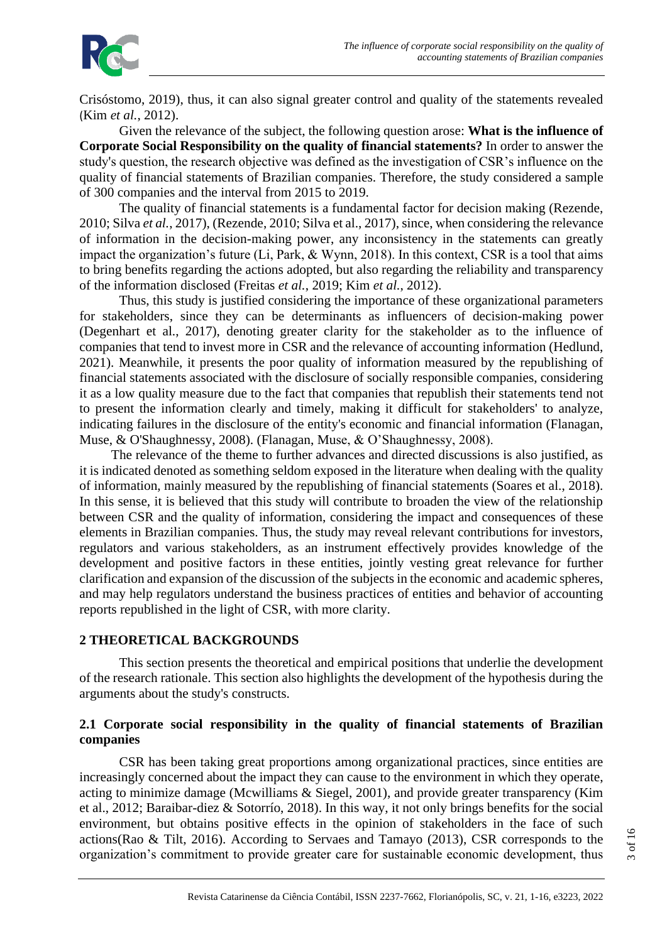

Crisóstomo, 2019), thus, it can also signal greater control and quality of the statements revealed (Kim *et al.*, 2012).

Given the relevance of the subject, the following question arose: **What is the influence of Corporate Social Responsibility on the quality of financial statements?** In order to answer the study's question, the research objective was defined as the investigation of CSR's influence on the quality of financial statements of Brazilian companies. Therefore, the study considered a sample of 300 companies and the interval from 2015 to 2019.

The quality of financial statements is a fundamental factor for decision making (Rezende, 2010; Silva *et al.*, 2017), (Rezende, 2010; Silva et al., 2017), since, when considering the relevance of information in the decision-making power, any inconsistency in the statements can greatly impact the organization's future (Li, Park, & Wynn, 2018). In this context, CSR is a tool that aims to bring benefits regarding the actions adopted, but also regarding the reliability and transparency of the information disclosed (Freitas *et al.*, 2019; Kim *et al.*, 2012).

Thus, this study is justified considering the importance of these organizational parameters for stakeholders, since they can be determinants as influencers of decision-making power (Degenhart et al., 2017), denoting greater clarity for the stakeholder as to the influence of companies that tend to invest more in CSR and the relevance of accounting information (Hedlund, 2021). Meanwhile, it presents the poor quality of information measured by the republishing of financial statements associated with the disclosure of socially responsible companies, considering it as a low quality measure due to the fact that companies that republish their statements tend not to present the information clearly and timely, making it difficult for stakeholders' to analyze, indicating failures in the disclosure of the entity's economic and financial information (Flanagan, Muse, & O'Shaughnessy, 2008). (Flanagan, Muse, & O'Shaughnessy, 2008).

The relevance of the theme to further advances and directed discussions is also justified, as it is indicated denoted as something seldom exposed in the literature when dealing with the quality of information, mainly measured by the republishing of financial statements (Soares et al., 2018). In this sense, it is believed that this study will contribute to broaden the view of the relationship between CSR and the quality of information, considering the impact and consequences of these elements in Brazilian companies. Thus, the study may reveal relevant contributions for investors, regulators and various stakeholders, as an instrument effectively provides knowledge of the development and positive factors in these entities, jointly vesting great relevance for further clarification and expansion of the discussion of the subjects in the economic and academic spheres, and may help regulators understand the business practices of entities and behavior of accounting reports republished in the light of CSR, with more clarity.

## **2 THEORETICAL BACKGROUNDS**

This section presents the theoretical and empirical positions that underlie the development of the research rationale. This section also highlights the development of the hypothesis during the arguments about the study's constructs.

#### **2.1 Corporate social responsibility in the quality of financial statements of Brazilian companies**

CSR has been taking great proportions among organizational practices, since entities are increasingly concerned about the impact they can cause to the environment in which they operate, acting to minimize damage (Mcwilliams & Siegel, 2001), and provide greater transparency (Kim et al., 2012; Baraibar-diez & Sotorrío, 2018). In this way, it not only brings benefits for the social environment, but obtains positive effects in the opinion of stakeholders in the face of such actions(Rao & Tilt, 2016). According to Servaes and Tamayo (2013), CSR corresponds to the organization's commitment to provide greater care for sustainable economic development, thus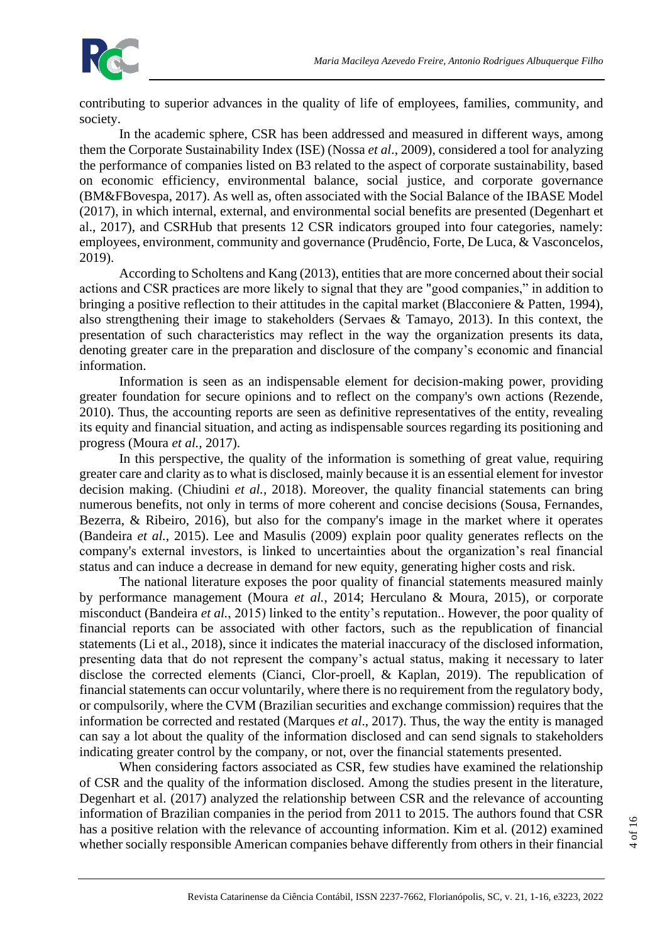

contributing to superior advances in the quality of life of employees, families, community, and society.

In the academic sphere, CSR has been addressed and measured in different ways, among them the Corporate Sustainability Index (ISE) (Nossa *et al*., 2009), considered a tool for analyzing the performance of companies listed on B3 related to the aspect of corporate sustainability, based on economic efficiency, environmental balance, social justice, and corporate governance (BM&FBovespa, 2017). As well as, often associated with the Social Balance of the IBASE Model (2017), in which internal, external, and environmental social benefits are presented (Degenhart et al., 2017), and CSRHub that presents 12 CSR indicators grouped into four categories, namely: employees, environment, community and governance (Prudêncio, Forte, De Luca, & Vasconcelos, 2019).

According to Scholtens and Kang (2013), entities that are more concerned about their social actions and CSR practices are more likely to signal that they are "good companies," in addition to bringing a positive reflection to their attitudes in the capital market (Blacconiere & Patten, 1994), also strengthening their image to stakeholders (Servaes & Tamayo, 2013). In this context, the presentation of such characteristics may reflect in the way the organization presents its data, denoting greater care in the preparation and disclosure of the company's economic and financial information.

Information is seen as an indispensable element for decision-making power, providing greater foundation for secure opinions and to reflect on the company's own actions (Rezende, 2010). Thus, the accounting reports are seen as definitive representatives of the entity, revealing its equity and financial situation, and acting as indispensable sources regarding its positioning and progress (Moura *et al.*, 2017).

In this perspective, the quality of the information is something of great value, requiring greater care and clarity as to what is disclosed, mainly because it is an essential element for investor decision making. (Chiudini *et al.*, 2018). Moreover, the quality financial statements can bring numerous benefits, not only in terms of more coherent and concise decisions (Sousa, Fernandes, Bezerra, & Ribeiro, 2016), but also for the company's image in the market where it operates (Bandeira *et al.*, 2015). Lee and Masulis (2009) explain poor quality generates reflects on the company's external investors, is linked to uncertainties about the organization's real financial status and can induce a decrease in demand for new equity, generating higher costs and risk.

The national literature exposes the poor quality of financial statements measured mainly by performance management (Moura *et al.*, 2014; Herculano & Moura, 2015), or corporate misconduct (Bandeira *et al.*, 2015) linked to the entity's reputation.. However, the poor quality of financial reports can be associated with other factors, such as the republication of financial statements (Li et al., 2018), since it indicates the material inaccuracy of the disclosed information, presenting data that do not represent the company's actual status, making it necessary to later disclose the corrected elements (Cianci, Clor-proell, & Kaplan, 2019). The republication of financial statements can occur voluntarily, where there is no requirement from the regulatory body, or compulsorily, where the CVM (Brazilian securities and exchange commission) requires that the information be corrected and restated (Marques *et al*., 2017). Thus, the way the entity is managed can say a lot about the quality of the information disclosed and can send signals to stakeholders indicating greater control by the company, or not, over the financial statements presented.

When considering factors associated as CSR, few studies have examined the relationship of CSR and the quality of the information disclosed. Among the studies present in the literature, Degenhart et al. (2017) analyzed the relationship between CSR and the relevance of accounting information of Brazilian companies in the period from 2011 to 2015. The authors found that CSR has a positive relation with the relevance of accounting information. Kim et al. (2012) examined whether socially responsible American companies behave differently from others in their financial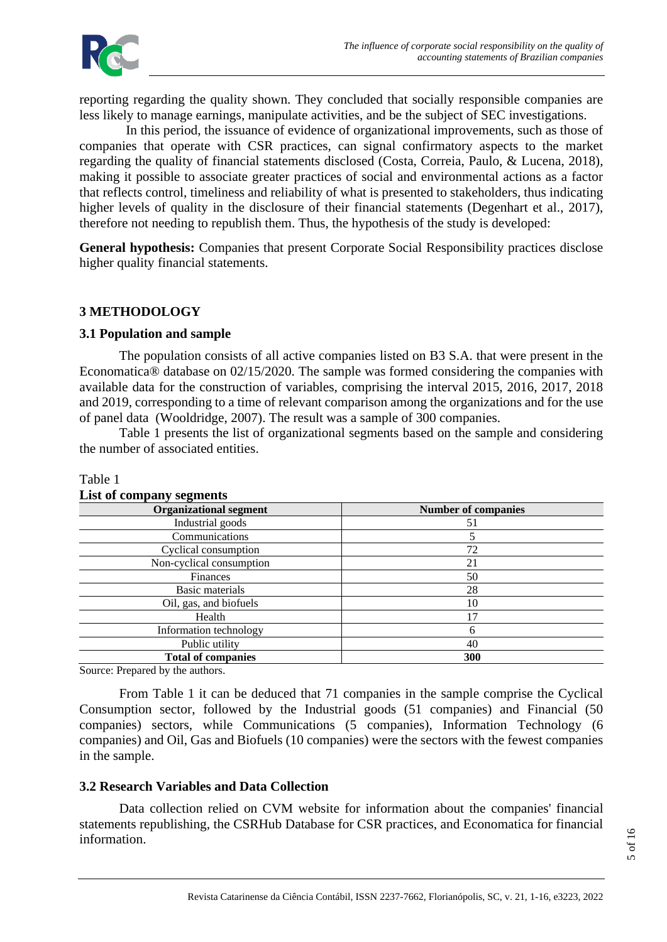

reporting regarding the quality shown. They concluded that socially responsible companies are less likely to manage earnings, manipulate activities, and be the subject of SEC investigations.

 In this period, the issuance of evidence of organizational improvements, such as those of companies that operate with CSR practices, can signal confirmatory aspects to the market regarding the quality of financial statements disclosed (Costa, Correia, Paulo, & Lucena, 2018), making it possible to associate greater practices of social and environmental actions as a factor that reflects control, timeliness and reliability of what is presented to stakeholders, thus indicating higher levels of quality in the disclosure of their financial statements (Degenhart et al., 2017), therefore not needing to republish them. Thus, the hypothesis of the study is developed:

**General hypothesis:** Companies that present Corporate Social Responsibility practices disclose higher quality financial statements.

## **3 METHODOLOGY**

#### **3.1 Population and sample**

The population consists of all active companies listed on B3 S.A. that were present in the Economatica® database on 02/15/2020. The sample was formed considering the companies with available data for the construction of variables, comprising the interval 2015, 2016, 2017, 2018 and 2019, corresponding to a time of relevant comparison among the organizations and for the use of panel data (Wooldridge, 2007). The result was a sample of 300 companies.

Table 1 presents the list of organizational segments based on the sample and considering the number of associated entities.

| <b>Organizational segment</b> | <b>Number of companies</b> |  |  |
|-------------------------------|----------------------------|--|--|
| Industrial goods              | 51                         |  |  |
| Communications                |                            |  |  |
| Cyclical consumption          | 72                         |  |  |
| Non-cyclical consumption      | 21                         |  |  |
| Finances                      | 50                         |  |  |
| Basic materials               | 28<br>10                   |  |  |
| Oil, gas, and biofuels        |                            |  |  |
| Health                        |                            |  |  |
| Information technology        | 6                          |  |  |
| Public utility                | 40                         |  |  |
| <b>Total of companies</b>     | 300                        |  |  |

#### Table 1 **List of company segments**

Source: Prepared by the authors.

From Table 1 it can be deduced that 71 companies in the sample comprise the Cyclical Consumption sector, followed by the Industrial goods (51 companies) and Financial (50 companies) sectors, while Communications (5 companies), Information Technology (6 companies) and Oil, Gas and Biofuels (10 companies) were the sectors with the fewest companies in the sample.

## **3.2 Research Variables and Data Collection**

Data collection relied on CVM website for information about the companies' financial statements republishing, the CSRHub Database for CSR practices, and Economatica for financial information.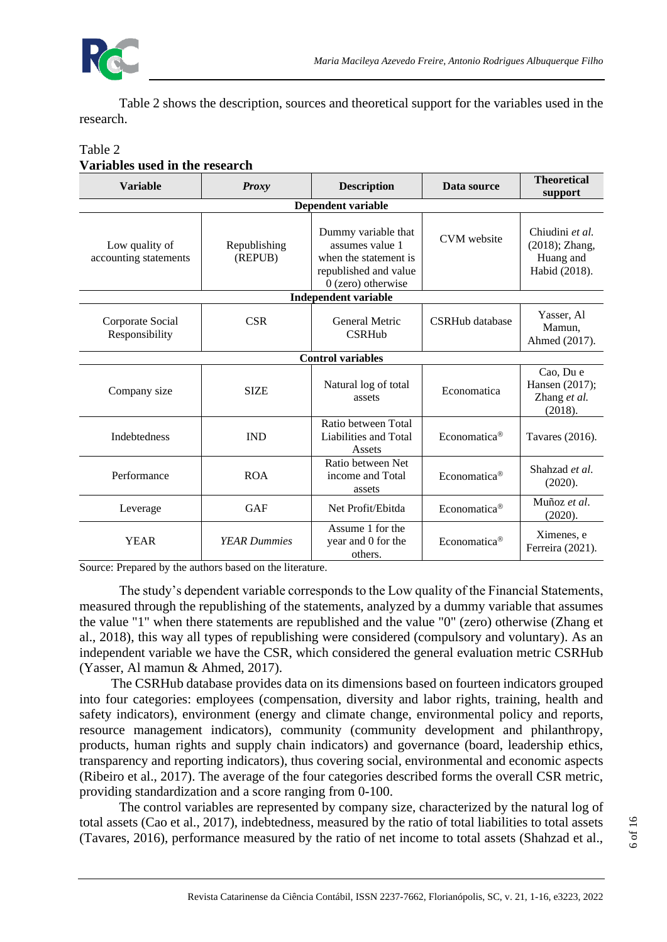

Table 2 shows the description, sources and theoretical support for the variables used in the research.

#### **Variable** *Proxy* **Description Data source Theoretical support Dependent variable** Low quality of accounting statements Republishing (REPUB) Dummy variable that assumes value 1 when the statement is republished and value 0 (zero) otherwise CVM website  $\begin{array}{|c|c|c|c|c|} \hline \text{Chiudini et al.} \end{array}$ (2018); Zhang, Huang and Habid (2018). **Independent variable** Corporate Social Responsibility CSR General Metric CSRHub CSRHub database Yasser, Al Mamun, Ahmed (2017). **Control variables** Company size SIZE Natural log of total<br>assets Economatica Cao, Du e Hansen (2017); Zhang *et al.* (2018). Indebtedness IND Ratio between Total Liabilities and Total Assets Economatica<sup>®</sup> Tavares (2016). Performance ROA Ratio between Net income and Total assets Economatica<sup>®</sup> Shahzad *et al.* (2020). Leverage GAF Net Profit/Ebitda Economatica<sup>®</sup> Muñoz *et al.* (2020). YEAR *YEAR Dummies* Assume 1 for the year and 0 for the others. Economatica<sup>®</sup> Ferreira (2021).

#### Table 2 **Variables used in the research**

Source: Prepared by the authors based on the literature.

The study's dependent variable corresponds to the Low quality of the Financial Statements, measured through the republishing of the statements, analyzed by a dummy variable that assumes the value "1" when there statements are republished and the value "0" (zero) otherwise (Zhang et al., 2018), this way all types of republishing were considered (compulsory and voluntary). As an independent variable we have the CSR, which considered the general evaluation metric CSRHub (Yasser, Al mamun & Ahmed, 2017).

The CSRHub database provides data on its dimensions based on fourteen indicators grouped into four categories: employees (compensation, diversity and labor rights, training, health and safety indicators), environment (energy and climate change, environmental policy and reports, resource management indicators), community (community development and philanthropy, products, human rights and supply chain indicators) and governance (board, leadership ethics, transparency and reporting indicators), thus covering social, environmental and economic aspects (Ribeiro et al., 2017). The average of the four categories described forms the overall CSR metric, providing standardization and a score ranging from 0-100.

The control variables are represented by company size, characterized by the natural log of total assets (Cao et al., 2017), indebtedness, measured by the ratio of total liabilities to total assets (Tavares, 2016), performance measured by the ratio of net income to total assets (Shahzad et al.,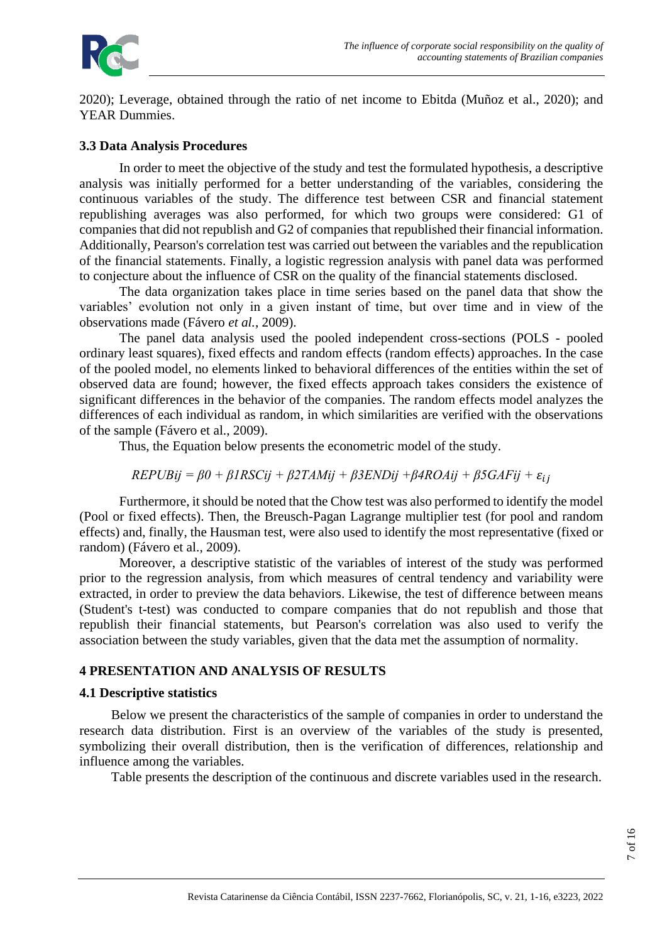

2020); Leverage, obtained through the ratio of net income to Ebitda (Muñoz et al., 2020); and YEAR Dummies.

#### **3.3 Data Analysis Procedures**

In order to meet the objective of the study and test the formulated hypothesis, a descriptive analysis was initially performed for a better understanding of the variables, considering the continuous variables of the study. The difference test between CSR and financial statement republishing averages was also performed, for which two groups were considered: G1 of companies that did not republish and G2 of companies that republished their financial information. Additionally, Pearson's correlation test was carried out between the variables and the republication of the financial statements. Finally, a logistic regression analysis with panel data was performed to conjecture about the influence of CSR on the quality of the financial statements disclosed.

The data organization takes place in time series based on the panel data that show the variables' evolution not only in a given instant of time, but over time and in view of the observations made (Fávero *et al.*, 2009).

The panel data analysis used the pooled independent cross-sections (POLS - pooled ordinary least squares), fixed effects and random effects (random effects) approaches. In the case of the pooled model, no elements linked to behavioral differences of the entities within the set of observed data are found; however, the fixed effects approach takes considers the existence of significant differences in the behavior of the companies. The random effects model analyzes the differences of each individual as random, in which similarities are verified with the observations of the sample (Fávero et al., 2009).

Thus, the Equation below presents the econometric model of the study.

$$
REPUBij = \beta 0 + \beta 1 RSCij + \beta 2 TAMij + \beta 3 ENDij + \beta 4 ROAij + \beta 5 GAFij + \varepsilon_{ij}
$$

Furthermore, it should be noted that the Chow test was also performed to identify the model (Pool or fixed effects). Then, the Breusch-Pagan Lagrange multiplier test (for pool and random effects) and, finally, the Hausman test, were also used to identify the most representative (fixed or random) (Fávero et al., 2009).

Moreover, a descriptive statistic of the variables of interest of the study was performed prior to the regression analysis, from which measures of central tendency and variability were extracted, in order to preview the data behaviors. Likewise, the test of difference between means (Student's t-test) was conducted to compare companies that do not republish and those that republish their financial statements, but Pearson's correlation was also used to verify the association between the study variables, given that the data met the assumption of normality.

## **4 PRESENTATION AND ANALYSIS OF RESULTS**

#### **4.1 Descriptive statistics**

Below we present the characteristics of the sample of companies in order to understand the research data distribution. First is an overview of the variables of the study is presented, symbolizing their overall distribution, then is the verification of differences, relationship and influence among the variables.

Table presents the description of the continuous and discrete variables used in the research.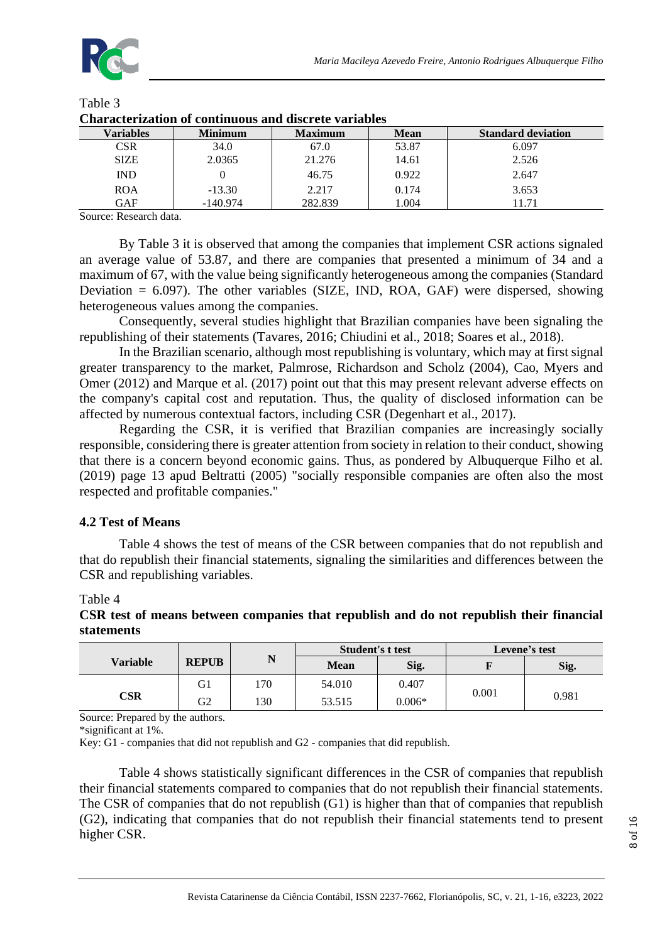

| Chul uctel izutlen er centhulues unu usel ett Tul iutlee |                |                |             |                           |
|----------------------------------------------------------|----------------|----------------|-------------|---------------------------|
| Variables                                                | <b>Minimum</b> | <b>Maximum</b> | <b>Mean</b> | <b>Standard deviation</b> |
| CSR                                                      | 34.0           | 67.0           | 53.87       | 6.097                     |
| <b>SIZE</b>                                              | 2.0365         | 21.276         | 14.61       | 2.526                     |
| <b>IND</b>                                               |                | 46.75          | 0.922       | 2.647                     |
| <b>ROA</b>                                               | $-13.30$       | 2.217          | 0.174       | 3.653                     |
| GAF                                                      | $-140.974$     | 282.839        | 1.004       | 11.71                     |

#### Table 3 **Characterization of continuous and discrete variables**

Source: Research data.

By Table 3 it is observed that among the companies that implement CSR actions signaled an average value of 53.87, and there are companies that presented a minimum of 34 and a maximum of 67, with the value being significantly heterogeneous among the companies (Standard Deviation  $= 6.097$ ). The other variables (SIZE, IND, ROA, GAF) were dispersed, showing heterogeneous values among the companies.

Consequently, several studies highlight that Brazilian companies have been signaling the republishing of their statements (Tavares, 2016; Chiudini et al., 2018; Soares et al., 2018).

In the Brazilian scenario, although most republishing is voluntary, which may at first signal greater transparency to the market, Palmrose, Richardson and Scholz (2004), Cao, Myers and Omer (2012) and Marque et al. (2017) point out that this may present relevant adverse effects on the company's capital cost and reputation. Thus, the quality of disclosed information can be affected by numerous contextual factors, including CSR (Degenhart et al., 2017).

Regarding the CSR, it is verified that Brazilian companies are increasingly socially responsible, considering there is greater attention from society in relation to their conduct, showing that there is a concern beyond economic gains. Thus, as pondered by Albuquerque Filho et al. (2019) page 13 apud Beltratti (2005) "socially responsible companies are often also the most respected and profitable companies."

## **4.2 Test of Means**

Table 4 shows the test of means of the CSR between companies that do not republish and that do republish their financial statements, signaling the similarities and differences between the CSR and republishing variables.

#### Table 4

**CSR test of means between companies that republish and do not republish their financial statements**

|                 |              |     | <b>Student's t test</b> |          | Levene's test |       |
|-----------------|--------------|-----|-------------------------|----------|---------------|-------|
| <b>Variable</b> | <b>REPUB</b> | N   | <b>Mean</b>             | Sig.     |               | Sig.  |
|                 | G1           | 170 | 54.010                  | 0.407    |               |       |
| CSR             | G2           | 130 | 53.515                  | $0.006*$ | 0.001         | 0.981 |

Source: Prepared by the authors.

\*significant at 1%.

Key: G1 - companies that did not republish and G2 - companies that did republish.

Table 4 shows statistically significant differences in the CSR of companies that republish their financial statements compared to companies that do not republish their financial statements. The CSR of companies that do not republish (G1) is higher than that of companies that republish (G2), indicating that companies that do not republish their financial statements tend to present higher CSR.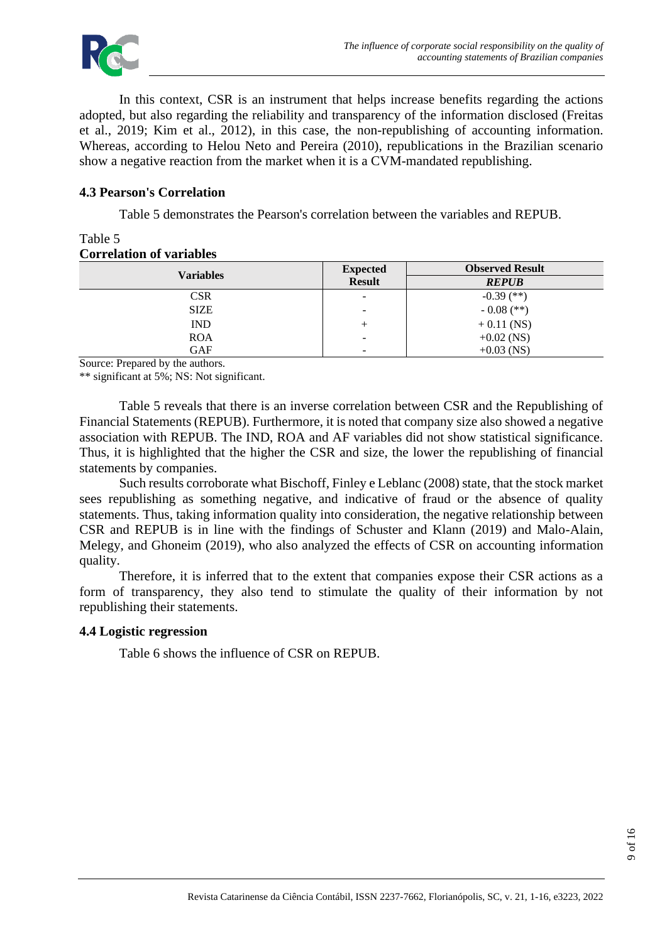

In this context, CSR is an instrument that helps increase benefits regarding the actions adopted, but also regarding the reliability and transparency of the information disclosed (Freitas et al., 2019; Kim et al., 2012), in this case, the non-republishing of accounting information. Whereas, according to Helou Neto and Pereira (2010), republications in the Brazilian scenario show a negative reaction from the market when it is a CVM-mandated republishing.

#### **4.3 Pearson's Correlation**

Table 5 demonstrates the Pearson's correlation between the variables and REPUB.

#### Table 5 **Correlation of variables**

|                  | <b>Expected</b>          | <b>Observed Result</b> |
|------------------|--------------------------|------------------------|
| <b>Variables</b> | <b>Result</b>            | <b>REPUB</b>           |
| <b>CSR</b>       | ۰                        | $-0.39$ (**)           |
| <b>SIZE</b>      | $\overline{\phantom{a}}$ | $-0.08$ (**)           |
| <b>IND</b>       | +                        | $+0.11$ (NS)           |
| <b>ROA</b>       | $\overline{\phantom{0}}$ | $+0.02$ (NS)           |
| <b>GAF</b>       | -                        | $+0.03$ (NS)           |

Source: Prepared by the authors.

\*\* significant at 5%; NS: Not significant.

Table 5 reveals that there is an inverse correlation between CSR and the Republishing of Financial Statements (REPUB). Furthermore, it is noted that company size also showed a negative association with REPUB. The IND, ROA and AF variables did not show statistical significance. Thus, it is highlighted that the higher the CSR and size, the lower the republishing of financial statements by companies.

Such results corroborate what Bischoff, Finley e Leblanc (2008) state, that the stock market sees republishing as something negative, and indicative of fraud or the absence of quality statements. Thus, taking information quality into consideration, the negative relationship between CSR and REPUB is in line with the findings of Schuster and Klann (2019) and Malo-Alain, Melegy, and Ghoneim (2019), who also analyzed the effects of CSR on accounting information quality.

Therefore, it is inferred that to the extent that companies expose their CSR actions as a form of transparency, they also tend to stimulate the quality of their information by not republishing their statements.

#### **4.4 Logistic regression**

Table 6 shows the influence of CSR on REPUB.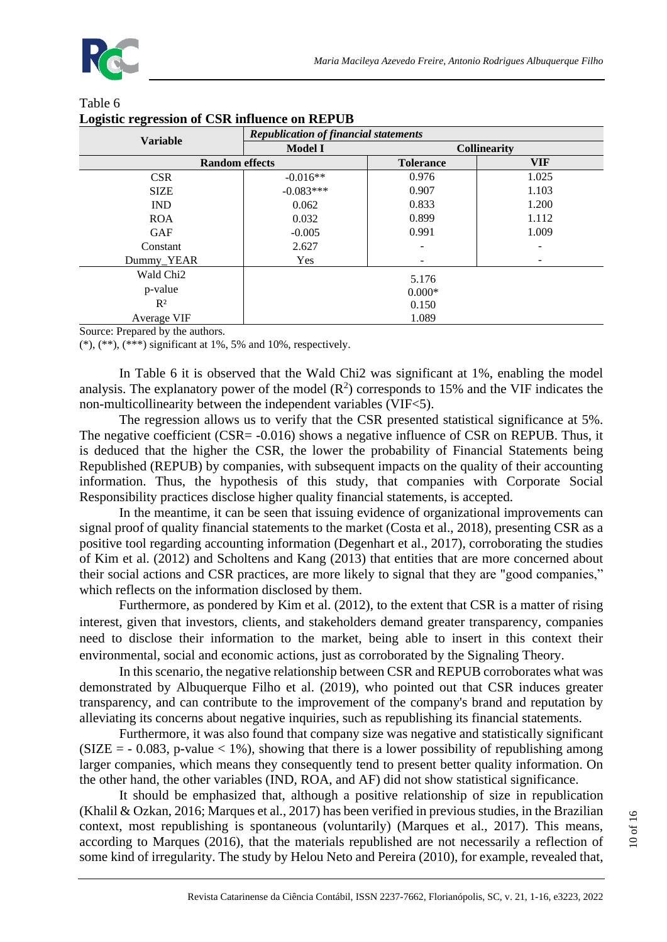

| $\mathbf{\sigma}$<br><b>Variable</b> | <b>Republication of financial statements</b> |                  |                     |  |  |
|--------------------------------------|----------------------------------------------|------------------|---------------------|--|--|
|                                      | <b>Model I</b>                               |                  | <b>Collinearity</b> |  |  |
| <b>Random effects</b>                |                                              | <b>Tolerance</b> | <b>VIF</b>          |  |  |
| <b>CSR</b>                           | $-0.016**$                                   | 0.976            | 1.025               |  |  |
| <b>SIZE</b>                          | $-0.083***$                                  | 0.907            | 1.103               |  |  |
| <b>IND</b>                           | 0.062                                        | 0.833            | 1.200               |  |  |
| <b>ROA</b>                           | 0.032                                        | 0.899            | 1.112               |  |  |
| <b>GAF</b>                           | $-0.005$                                     | 0.991            | 1.009               |  |  |
| Constant                             | 2.627                                        |                  |                     |  |  |
| Dummy_YEAR                           | Yes                                          |                  |                     |  |  |
| Wald Chi <sub>2</sub>                | 5.176                                        |                  |                     |  |  |
| p-value                              | $0.000*$                                     |                  |                     |  |  |
| $R^2$                                | 0.150                                        |                  |                     |  |  |
| Average VIF                          | 1.089                                        |                  |                     |  |  |

#### Table 6 **Logistic regression of CSR influence on REPUB**

Source: Prepared by the authors.

 $(*), (**,(***)$  significant at 1%, 5% and 10%, respectively.

In Table 6 it is observed that the Wald Chi2 was significant at 1%, enabling the model analysis. The explanatory power of the model  $(R^2)$  corresponds to 15% and the VIF indicates the non-multicollinearity between the independent variables (VIF<5).

The regression allows us to verify that the CSR presented statistical significance at 5%. The negative coefficient (CSR= -0.016) shows a negative influence of CSR on REPUB. Thus, it is deduced that the higher the CSR, the lower the probability of Financial Statements being Republished (REPUB) by companies, with subsequent impacts on the quality of their accounting information. Thus, the hypothesis of this study, that companies with Corporate Social Responsibility practices disclose higher quality financial statements, is accepted.

In the meantime, it can be seen that issuing evidence of organizational improvements can signal proof of quality financial statements to the market (Costa et al., 2018), presenting CSR as a positive tool regarding accounting information (Degenhart et al., 2017), corroborating the studies of Kim et al. (2012) and Scholtens and Kang (2013) that entities that are more concerned about their social actions and CSR practices, are more likely to signal that they are "good companies," which reflects on the information disclosed by them.

Furthermore, as pondered by Kim et al. (2012), to the extent that CSR is a matter of rising interest, given that investors, clients, and stakeholders demand greater transparency, companies need to disclose their information to the market, being able to insert in this context their environmental, social and economic actions, just as corroborated by the Signaling Theory.

In this scenario, the negative relationship between CSR and REPUB corroborates what was demonstrated by Albuquerque Filho et al. (2019), who pointed out that CSR induces greater transparency, and can contribute to the improvement of the company's brand and reputation by alleviating its concerns about negative inquiries, such as republishing its financial statements.

Furthermore, it was also found that company size was negative and statistically significant  $(SIZE = -0.083, p-value < 1\%)$ , showing that there is a lower possibility of republishing among larger companies, which means they consequently tend to present better quality information. On the other hand, the other variables (IND, ROA, and AF) did not show statistical significance.

It should be emphasized that, although a positive relationship of size in republication (Khalil & Ozkan, 2016; Marques et al., 2017) has been verified in previous studies, in the Brazilian context, most republishing is spontaneous (voluntarily) (Marques et al., 2017). This means, according to Marques (2016), that the materials republished are not necessarily a reflection of some kind of irregularity. The study by Helou Neto and Pereira (2010), for example, revealed that,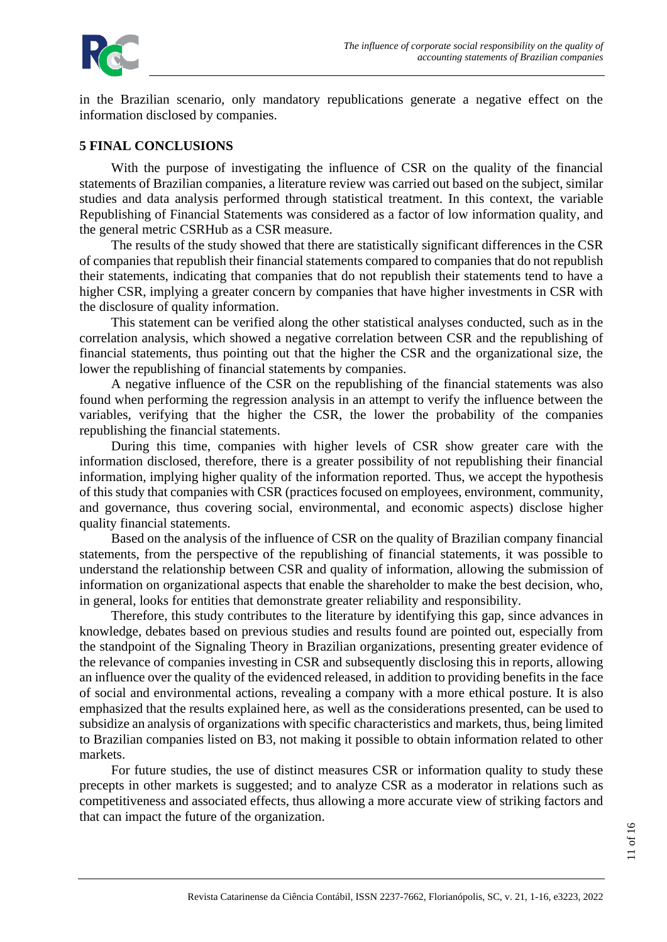

in the Brazilian scenario, only mandatory republications generate a negative effect on the information disclosed by companies.

#### **5 FINAL CONCLUSIONS**

With the purpose of investigating the influence of CSR on the quality of the financial statements of Brazilian companies, a literature review was carried out based on the subject, similar studies and data analysis performed through statistical treatment. In this context, the variable Republishing of Financial Statements was considered as a factor of low information quality, and the general metric CSRHub as a CSR measure.

The results of the study showed that there are statistically significant differences in the CSR of companies that republish their financial statements compared to companies that do not republish their statements, indicating that companies that do not republish their statements tend to have a higher CSR, implying a greater concern by companies that have higher investments in CSR with the disclosure of quality information.

This statement can be verified along the other statistical analyses conducted, such as in the correlation analysis, which showed a negative correlation between CSR and the republishing of financial statements, thus pointing out that the higher the CSR and the organizational size, the lower the republishing of financial statements by companies.

A negative influence of the CSR on the republishing of the financial statements was also found when performing the regression analysis in an attempt to verify the influence between the variables, verifying that the higher the CSR, the lower the probability of the companies republishing the financial statements.

During this time, companies with higher levels of CSR show greater care with the information disclosed, therefore, there is a greater possibility of not republishing their financial information, implying higher quality of the information reported. Thus, we accept the hypothesis of this study that companies with CSR (practices focused on employees, environment, community, and governance, thus covering social, environmental, and economic aspects) disclose higher quality financial statements.

Based on the analysis of the influence of CSR on the quality of Brazilian company financial statements, from the perspective of the republishing of financial statements, it was possible to understand the relationship between CSR and quality of information, allowing the submission of information on organizational aspects that enable the shareholder to make the best decision, who, in general, looks for entities that demonstrate greater reliability and responsibility.

Therefore, this study contributes to the literature by identifying this gap, since advances in knowledge, debates based on previous studies and results found are pointed out, especially from the standpoint of the Signaling Theory in Brazilian organizations, presenting greater evidence of the relevance of companies investing in CSR and subsequently disclosing this in reports, allowing an influence over the quality of the evidenced released, in addition to providing benefits in the face of social and environmental actions, revealing a company with a more ethical posture. It is also emphasized that the results explained here, as well as the considerations presented, can be used to subsidize an analysis of organizations with specific characteristics and markets, thus, being limited to Brazilian companies listed on B3, not making it possible to obtain information related to other markets.

For future studies, the use of distinct measures CSR or information quality to study these precepts in other markets is suggested; and to analyze CSR as a moderator in relations such as competitiveness and associated effects, thus allowing a more accurate view of striking factors and that can impact the future of the organization.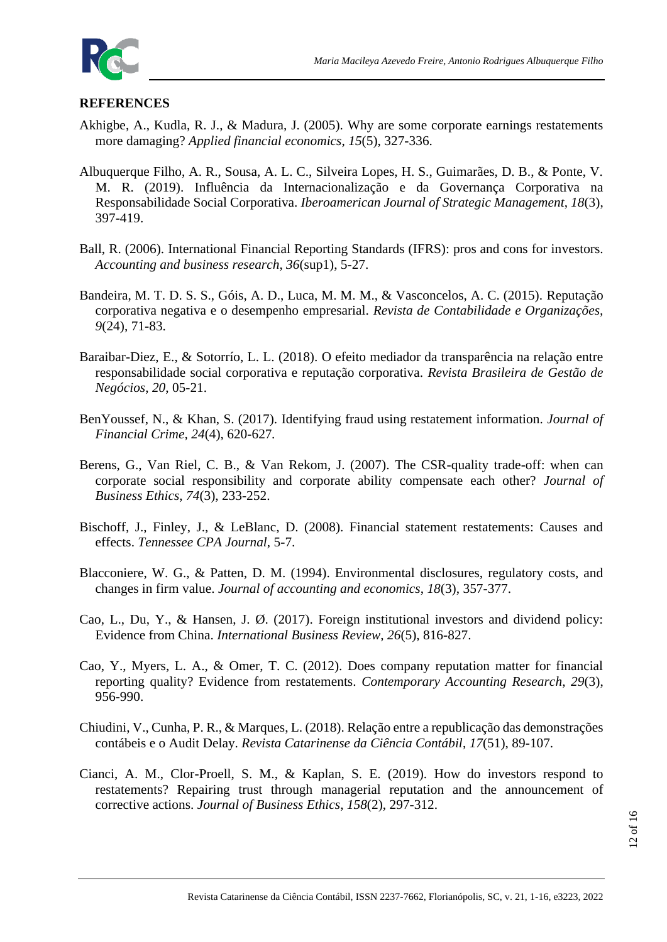

#### **REFERENCES**

- Akhigbe, A., Kudla, R. J., & Madura, J. (2005). Why are some corporate earnings restatements more damaging? *Applied financial economics*, *15*(5), 327-336.
- Albuquerque Filho, A. R., Sousa, A. L. C., Silveira Lopes, H. S., Guimarães, D. B., & Ponte, V. M. R. (2019). Influência da Internacionalização e da Governança Corporativa na Responsabilidade Social Corporativa. *Iberoamerican Journal of Strategic Management*, *18*(3), 397-419.
- Ball, R. (2006). International Financial Reporting Standards (IFRS): pros and cons for investors. *Accounting and business research*, *36*(sup1), 5-27.
- Bandeira, M. T. D. S. S., Góis, A. D., Luca, M. M. M., & Vasconcelos, A. C. (2015). Reputação corporativa negativa e o desempenho empresarial. *Revista de Contabilidade e Organizações, 9*(24), 71-83.
- Baraibar-Diez, E., & Sotorrío, L. L. (2018). O efeito mediador da transparência na relação entre responsabilidade social corporativa e reputação corporativa. *Revista Brasileira de Gestão de Negócios*, *20*, 05-21.
- BenYoussef, N., & Khan, S. (2017). Identifying fraud using restatement information. *Journal of Financial Crime, 24*(4), 620-627*.*
- Berens, G., Van Riel, C. B., & Van Rekom, J. (2007). The CSR-quality trade-off: when can corporate social responsibility and corporate ability compensate each other? *Journal of Business Ethics*, *74*(3), 233-252.
- Bischoff, J., Finley, J., & LeBlanc, D. (2008). Financial statement restatements: Causes and effects. *Tennessee CPA Journal*, 5-7.
- Blacconiere, W. G., & Patten, D. M. (1994). Environmental disclosures, regulatory costs, and changes in firm value. *Journal of accounting and economics*, *18*(3), 357-377.
- Cao, L., Du, Y., & Hansen, J. Ø. (2017). Foreign institutional investors and dividend policy: Evidence from China. *International Business Review*, *26*(5), 816-827.
- Cao, Y., Myers, L. A., & Omer, T. C. (2012). Does company reputation matter for financial reporting quality? Evidence from restatements. *Contemporary Accounting Research*, *29*(3), 956-990.
- Chiudini, V., Cunha, P. R., & Marques, L. (2018). Relação entre a republicação das demonstrações contábeis e o Audit Delay. *Revista Catarinense da Ciência Contábil*, *17*(51), 89-107.
- Cianci, A. M., Clor-Proell, S. M., & Kaplan, S. E. (2019). How do investors respond to restatements? Repairing trust through managerial reputation and the announcement of corrective actions. *Journal of Business Ethics*, *158*(2), 297-312.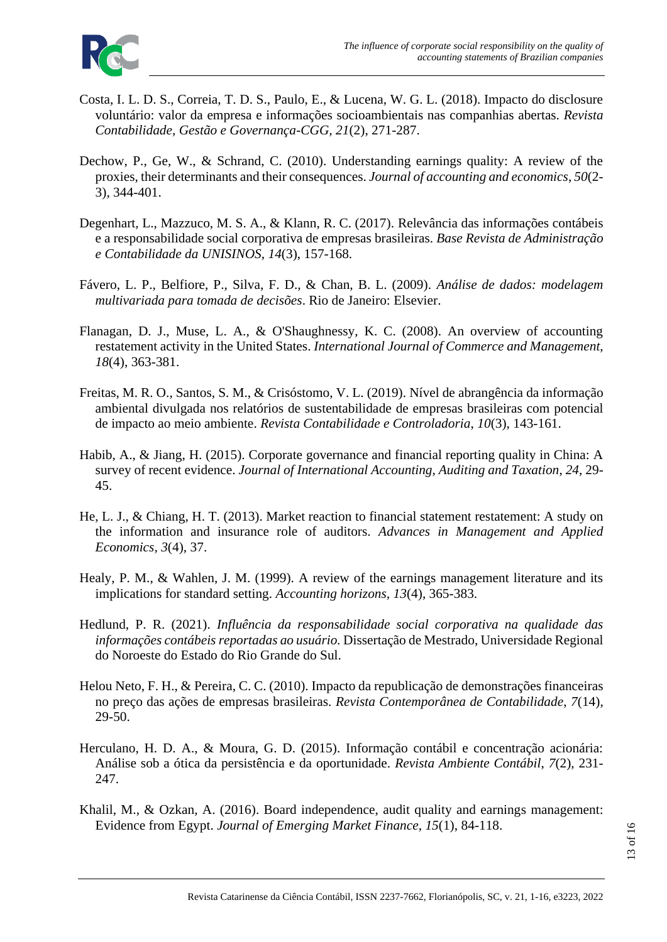

- Costa, I. L. D. S., Correia, T. D. S., Paulo, E., & Lucena, W. G. L. (2018). Impacto do disclosure voluntário: valor da empresa e informações socioambientais nas companhias abertas. *Revista Contabilidade, Gestão e Governança-CGG, 21*(2), 271-287.
- Dechow, P., Ge, W., & Schrand, C. (2010). Understanding earnings quality: A review of the proxies, their determinants and their consequences. *Journal of accounting and economics*, *50*(2- 3), 344-401.
- Degenhart, L., Mazzuco, M. S. A., & Klann, R. C. (2017). Relevância das informações contábeis e a responsabilidade social corporativa de empresas brasileiras. *Base Revista de Administração e Contabilidade da UNISINOS*, *14*(3), 157-168.
- Fávero, L. P., Belfiore, P., Silva, F. D., & Chan, B. L. (2009). *Análise de dados: modelagem multivariada para tomada de decisões*. Rio de Janeiro: Elsevier.
- Flanagan, D. J., Muse, L. A., & O'Shaughnessy, K. C. (2008). An overview of accounting restatement activity in the United States. *International Journal of Commerce and Management*, *18*(4), 363-381.
- Freitas, M. R. O., Santos, S. M., & Crisóstomo, V. L. (2019). Nível de abrangência da informação ambiental divulgada nos relatórios de sustentabilidade de empresas brasileiras com potencial de impacto ao meio ambiente. *Revista Contabilidade e Controladoria*, *10*(3), 143-161.
- Habib, A., & Jiang, H. (2015). Corporate governance and financial reporting quality in China: A survey of recent evidence. *Journal of International Accounting, Auditing and Taxation*, *24*, 29- 45.
- He, L. J., & Chiang, H. T. (2013). Market reaction to financial statement restatement: A study on the information and insurance role of auditors. *Advances in Management and Applied Economics*, *3*(4), 37.
- Healy, P. M., & Wahlen, J. M. (1999). A review of the earnings management literature and its implications for standard setting. *Accounting horizons, 13*(4), 365-383.
- Hedlund, P. R. (2021). *Influência da responsabilidade social corporativa na qualidade das informações contábeis reportadas ao usuário.* Dissertação de Mestrado, Universidade Regional do Noroeste do Estado do Rio Grande do Sul.
- Helou Neto, F. H., & Pereira, C. C. (2010). Impacto da republicação de demonstrações financeiras no preço das ações de empresas brasileiras. *Revista Contemporânea de Contabilidade*, *7*(14), 29-50.
- Herculano, H. D. A., & Moura, G. D. (2015). Informação contábil e concentração acionária: Análise sob a ótica da persistência e da oportunidade. *Revista Ambiente Contábil*, *7*(2), 231- 247.
- Khalil, M., & Ozkan, A. (2016). Board independence, audit quality and earnings management: Evidence from Egypt. *Journal of Emerging Market Finance*, *15*(1), 84-118.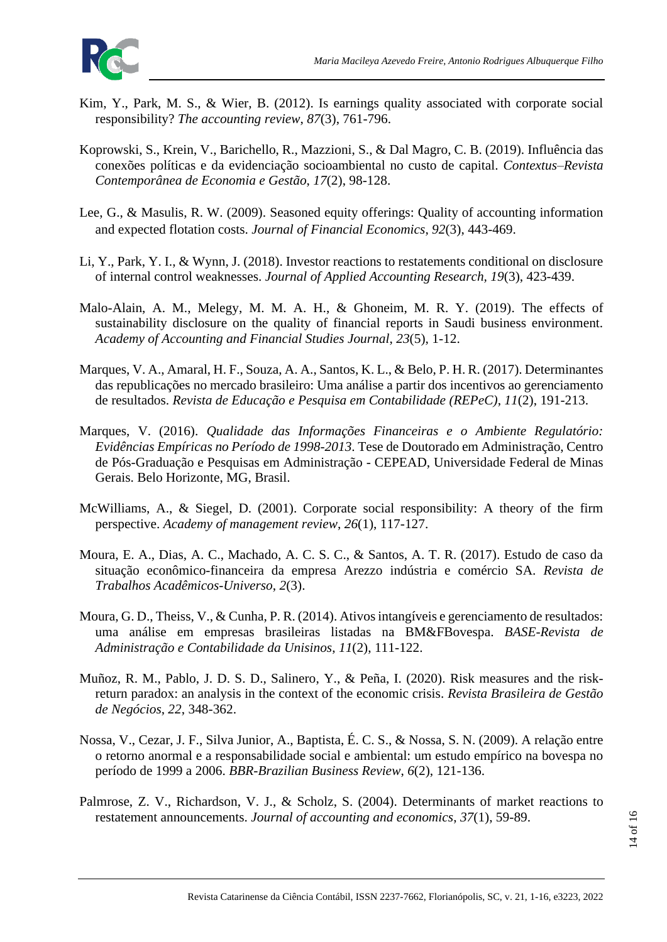

- Kim, Y., Park, M. S., & Wier, B. (2012). Is earnings quality associated with corporate social responsibility? *The accounting review*, *87*(3), 761-796.
- Koprowski, S., Krein, V., Barichello, R., Mazzioni, S., & Dal Magro, C. B. (2019). Influência das conexões políticas e da evidenciação socioambiental no custo de capital. *Contextus–Revista Contemporânea de Economia e Gestão*, *17*(2), 98-128.
- Lee, G., & Masulis, R. W. (2009). Seasoned equity offerings: Quality of accounting information and expected flotation costs. *Journal of Financial Economics*, *92*(3), 443-469.
- Li, Y., Park, Y. I., & Wynn, J. (2018). Investor reactions to restatements conditional on disclosure of internal control weaknesses. *Journal of Applied Accounting Research, 19*(3), 423-439.
- Malo-Alain, A. M., Melegy, M. M. A. H., & Ghoneim, M. R. Y. (2019). The effects of sustainability disclosure on the quality of financial reports in Saudi business environment. *Academy of Accounting and Financial Studies Journal*, *23*(5), 1-12.
- Marques, V. A., Amaral, H. F., Souza, A. A., Santos, K. L., & Belo, P. H. R. (2017). Determinantes das republicações no mercado brasileiro: Uma análise a partir dos incentivos ao gerenciamento de resultados. *Revista de Educação e Pesquisa em Contabilidade (REPeC)*, *11*(2), 191-213.
- Marques, V. (2016). *Qualidade das Informações Financeiras e o Ambiente Regulatório: Evidências Empíricas no Período de 1998-2013*. Tese de Doutorado em Administração, Centro de Pós-Graduação e Pesquisas em Administração - CEPEAD, Universidade Federal de Minas Gerais. Belo Horizonte, MG, Brasil.
- McWilliams, A., & Siegel, D. (2001). Corporate social responsibility: A theory of the firm perspective. *Academy of management review*, *26*(1), 117-127.
- Moura, E. A., Dias, A. C., Machado, A. C. S. C., & Santos, A. T. R. (2017). Estudo de caso da situação econômico-financeira da empresa Arezzo indústria e comércio SA. *Revista de Trabalhos Acadêmicos-Universo*, *2*(3).
- Moura, G. D., Theiss, V., & Cunha, P. R. (2014). Ativos intangíveis e gerenciamento de resultados: uma análise em empresas brasileiras listadas na BM&FBovespa. *BASE-Revista de Administração e Contabilidade da Unisinos*, *11*(2), 111-122.
- Muñoz, R. M., Pablo, J. D. S. D., Salinero, Y., & Peña, I. (2020). Risk measures and the riskreturn paradox: an analysis in the context of the economic crisis. *Revista Brasileira de Gestão de Negócios*, *22*, 348-362.
- Nossa, V., Cezar, J. F., Silva Junior, A., Baptista, É. C. S., & Nossa, S. N. (2009). A relação entre o retorno anormal e a responsabilidade social e ambiental: um estudo empírico na bovespa no período de 1999 a 2006. *BBR-Brazilian Business Review*, *6*(2), 121-136.
- Palmrose, Z. V., Richardson, V. J., & Scholz, S. (2004). Determinants of market reactions to restatement announcements. *Journal of accounting and economics*, *37*(1), 59-89.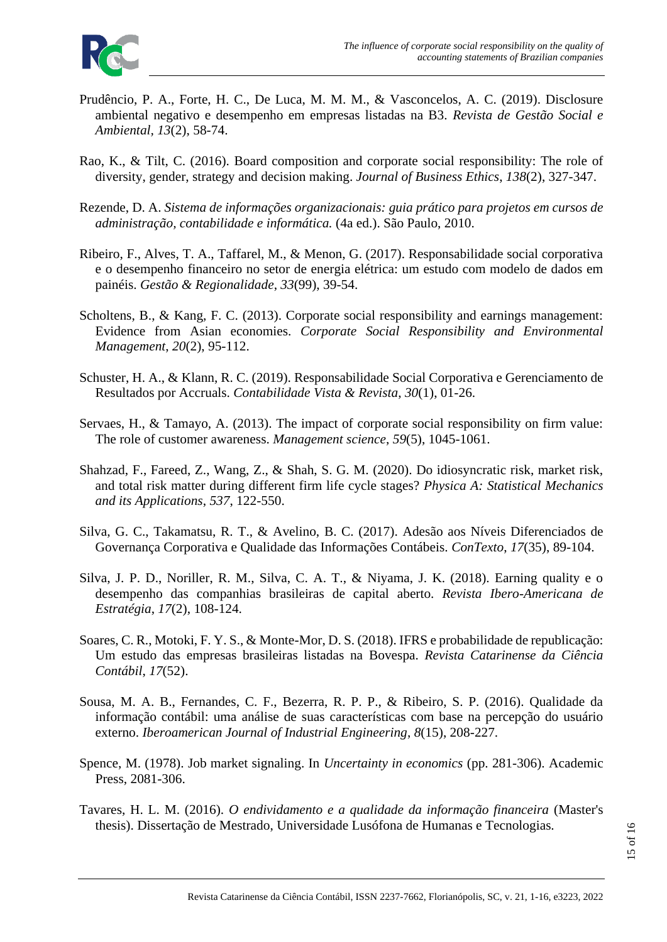- Prudêncio, P. A., Forte, H. C., De Luca, M. M. M., & Vasconcelos, A. C. (2019). Disclosure ambiental negativo e desempenho em empresas listadas na B3. *Revista de Gestão Social e Ambiental, 13*(2), 58-74.
- Rao, K., & Tilt, C. (2016). Board composition and corporate social responsibility: The role of diversity, gender, strategy and decision making. *Journal of Business Ethics*, *138*(2), 327-347.
- Rezende, D. A. *Sistema de informações organizacionais: guia prático para projetos em cursos de administração, contabilidade e informática.* (4a ed.). São Paulo, 2010.
- Ribeiro, F., Alves, T. A., Taffarel, M., & Menon, G. (2017). Responsabilidade social corporativa e o desempenho financeiro no setor de energia elétrica: um estudo com modelo de dados em painéis. *Gestão & Regionalidade*, *33*(99), 39-54.
- Scholtens, B., & Kang, F. C. (2013). Corporate social responsibility and earnings management: Evidence from Asian economies. *Corporate Social Responsibility and Environmental Management*, *20*(2), 95-112.
- Schuster, H. A., & Klann, R. C. (2019). Responsabilidade Social Corporativa e Gerenciamento de Resultados por Accruals. *Contabilidade Vista & Revista*, *30*(1), 01-26.
- Servaes, H., & Tamayo, A. (2013). The impact of corporate social responsibility on firm value: The role of customer awareness. *Management science*, *59*(5), 1045-1061.
- Shahzad, F., Fareed, Z., Wang, Z., & Shah, S. G. M. (2020). Do idiosyncratic risk, market risk, and total risk matter during different firm life cycle stages? *Physica A: Statistical Mechanics and its Applications*, *537*, 122-550.
- Silva, G. C., Takamatsu, R. T., & Avelino, B. C. (2017). Adesão aos Níveis Diferenciados de Governança Corporativa e Qualidade das Informações Contábeis. *ConTexto*, *17*(35), 89-104.
- Silva, J. P. D., Noriller, R. M., Silva, C. A. T., & Niyama, J. K. (2018). Earning quality e o desempenho das companhias brasileiras de capital aberto. *Revista Ibero-Americana de Estratégia*, *17*(2), 108-124.
- Soares, C. R., Motoki, F. Y. S., & Monte-Mor, D. S. (2018). IFRS e probabilidade de republicação: Um estudo das empresas brasileiras listadas na Bovespa. *Revista Catarinense da Ciência Contábil*, *17*(52).
- Sousa, M. A. B., Fernandes, C. F., Bezerra, R. P. P., & Ribeiro, S. P. (2016). Qualidade da informação contábil: uma análise de suas características com base na percepção do usuário externo. *Iberoamerican Journal of Industrial Engineering*, *8*(15), 208-227.
- Spence, M. (1978). Job market signaling. In *Uncertainty in economics* (pp. 281-306). Academic Press, 2081-306.
- Tavares, H. L. M. (2016). *O endividamento e a qualidade da informação financeira* (Master's thesis). Dissertação de Mestrado, Universidade Lusófona de Humanas e Tecnologias.